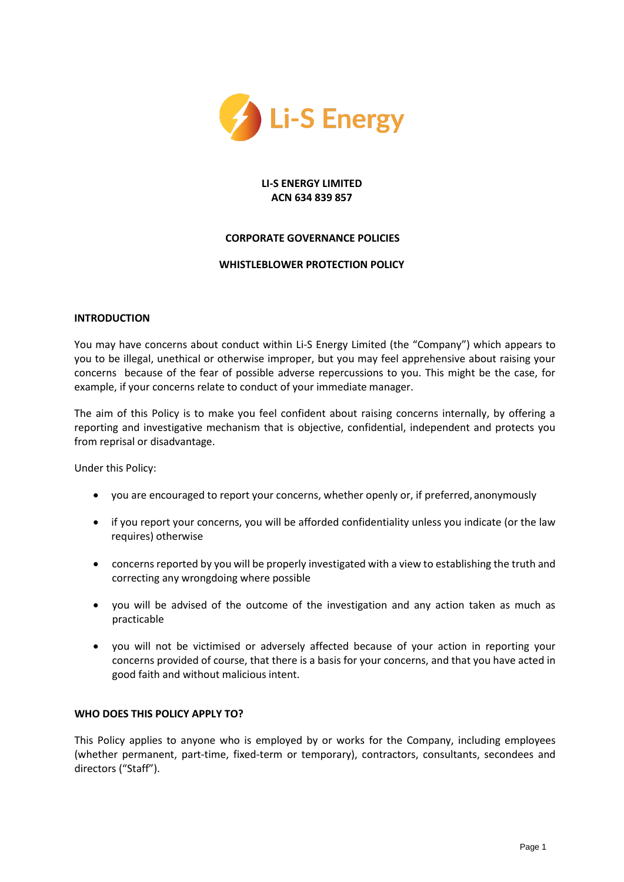

# **LI-S ENERGY LIMITED ACN 634 839 857**

## **CORPORATE GOVERNANCE POLICIES**

## **WHISTLEBLOWER PROTECTION POLICY**

### **INTRODUCTION**

You may have concerns about conduct within Li-S Energy Limited (the "Company") which appears to you to be illegal, unethical or otherwise improper, but you may feel apprehensive about raising your concerns because of the fear of possible adverse repercussions to you. This might be the case, for example, if your concerns relate to conduct of your immediate manager.

The aim of this Policy is to make you feel confident about raising concerns internally, by offering a reporting and investigative mechanism that is objective, confidential, independent and protects you from reprisal or disadvantage.

Under this Policy:

- you are encouraged to report your concerns, whether openly or, if preferred, anonymously
- if you report your concerns, you will be afforded confidentiality unless you indicate (or the law requires) otherwise
- concerns reported by you will be properly investigated with a view to establishing the truth and correcting any wrongdoing where possible
- you will be advised of the outcome of the investigation and any action taken as much as practicable
- you will not be victimised or adversely affected because of your action in reporting your concerns provided of course, that there is a basis for your concerns, and that you have acted in good faith and without malicious intent.

## **WHO DOES THIS POLICY APPLY TO?**

This Policy applies to anyone who is employed by or works for the Company, including employees (whether permanent, part-time, fixed-term or temporary), contractors, consultants, secondees and directors ("Staff").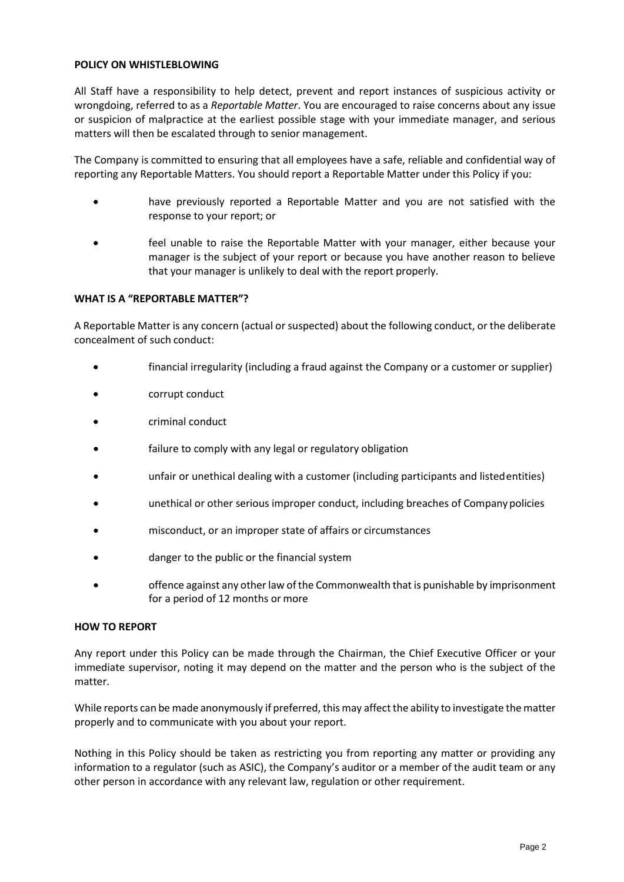## **POLICY ON WHISTLEBLOWING**

All Staff have a responsibility to help detect, prevent and report instances of suspicious activity or wrongdoing, referred to as a *Reportable Matter*. You are encouraged to raise concerns about any issue or suspicion of malpractice at the earliest possible stage with your immediate manager, and serious matters will then be escalated through to senior management.

The Company is committed to ensuring that all employees have a safe, reliable and confidential way of reporting any Reportable Matters. You should report a Reportable Matter under this Policy if you:

- have previously reported a Reportable Matter and you are not satisfied with the response to your report; or
- feel unable to raise the Reportable Matter with your manager, either because your manager is the subject of your report or because you have another reason to believe that your manager is unlikely to deal with the report properly.

### **WHAT IS A "REPORTABLE MATTER"?**

A Reportable Matter is any concern (actual or suspected) about the following conduct, or the deliberate concealment of such conduct:

- financial irregularity (including a fraud against the Company or a customer or supplier)
- corrupt conduct
- criminal conduct
- failure to comply with any legal or regulatory obligation
- unfair or unethical dealing with a customer (including participants and listedentities)
- unethical or other serious improper conduct, including breaches of Companypolicies
- misconduct, or an improper state of affairs or circumstances
- danger to the public or the financial system
- offence against any other law of the Commonwealth that is punishable by imprisonment for a period of 12 months or more

#### **HOW TO REPORT**

Any report under this Policy can be made through the Chairman, the Chief Executive Officer or your immediate supervisor, noting it may depend on the matter and the person who is the subject of the matter.

While reports can be made anonymously if preferred, this may affect the ability to investigate the matter properly and to communicate with you about your report.

Nothing in this Policy should be taken as restricting you from reporting any matter or providing any information to a regulator (such as ASIC), the Company's auditor or a member of the audit team or any other person in accordance with any relevant law, regulation or other requirement.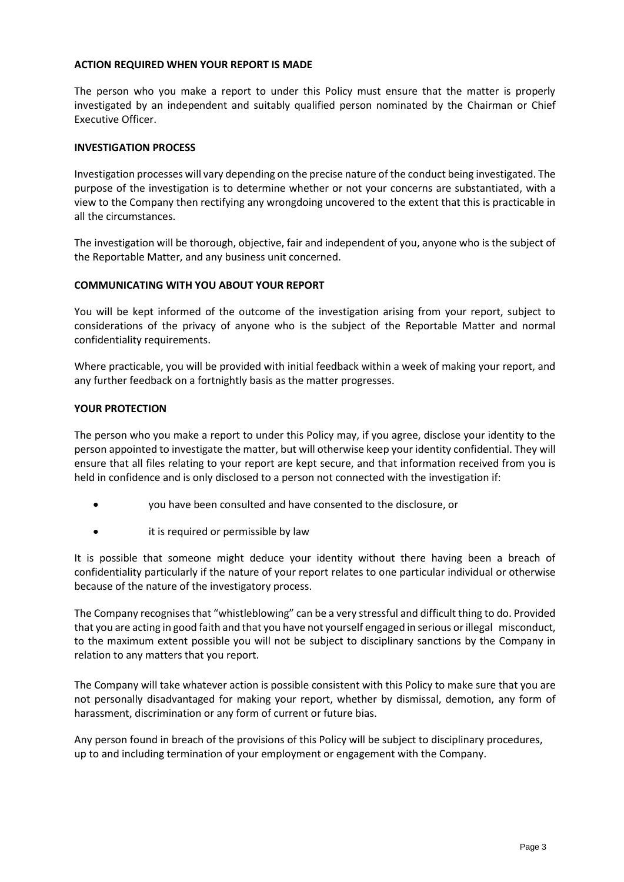## **ACTION REQUIRED WHEN YOUR REPORT IS MADE**

The person who you make a report to under this Policy must ensure that the matter is properly investigated by an independent and suitably qualified person nominated by the Chairman or Chief Executive Officer.

## **INVESTIGATION PROCESS**

Investigation processes will vary depending on the precise nature of the conduct being investigated. The purpose of the investigation is to determine whether or not your concerns are substantiated, with a view to the Company then rectifying any wrongdoing uncovered to the extent that this is practicable in all the circumstances.

The investigation will be thorough, objective, fair and independent of you, anyone who is the subject of the Reportable Matter, and any business unit concerned.

### **COMMUNICATING WITH YOU ABOUT YOUR REPORT**

You will be kept informed of the outcome of the investigation arising from your report, subject to considerations of the privacy of anyone who is the subject of the Reportable Matter and normal confidentiality requirements.

Where practicable, you will be provided with initial feedback within a week of making your report, and any further feedback on a fortnightly basis as the matter progresses.

### **YOUR PROTECTION**

The person who you make a report to under this Policy may, if you agree, disclose your identity to the person appointed to investigate the matter, but will otherwise keep your identity confidential. They will ensure that all files relating to your report are kept secure, and that information received from you is held in confidence and is only disclosed to a person not connected with the investigation if:

- you have been consulted and have consented to the disclosure, or
- it is required or permissible by law

It is possible that someone might deduce your identity without there having been a breach of confidentiality particularly if the nature of your report relates to one particular individual or otherwise because of the nature of the investigatory process.

The Company recognises that "whistleblowing" can be a very stressful and difficult thing to do. Provided that you are acting in good faith and that you have not yourself engaged in serious or illegal misconduct, to the maximum extent possible you will not be subject to disciplinary sanctions by the Company in relation to any matters that you report.

The Company will take whatever action is possible consistent with this Policy to make sure that you are not personally disadvantaged for making your report, whether by dismissal, demotion, any form of harassment, discrimination or any form of current or future bias.

Any person found in breach of the provisions of this Policy will be subject to disciplinary procedures, up to and including termination of your employment or engagement with the Company.